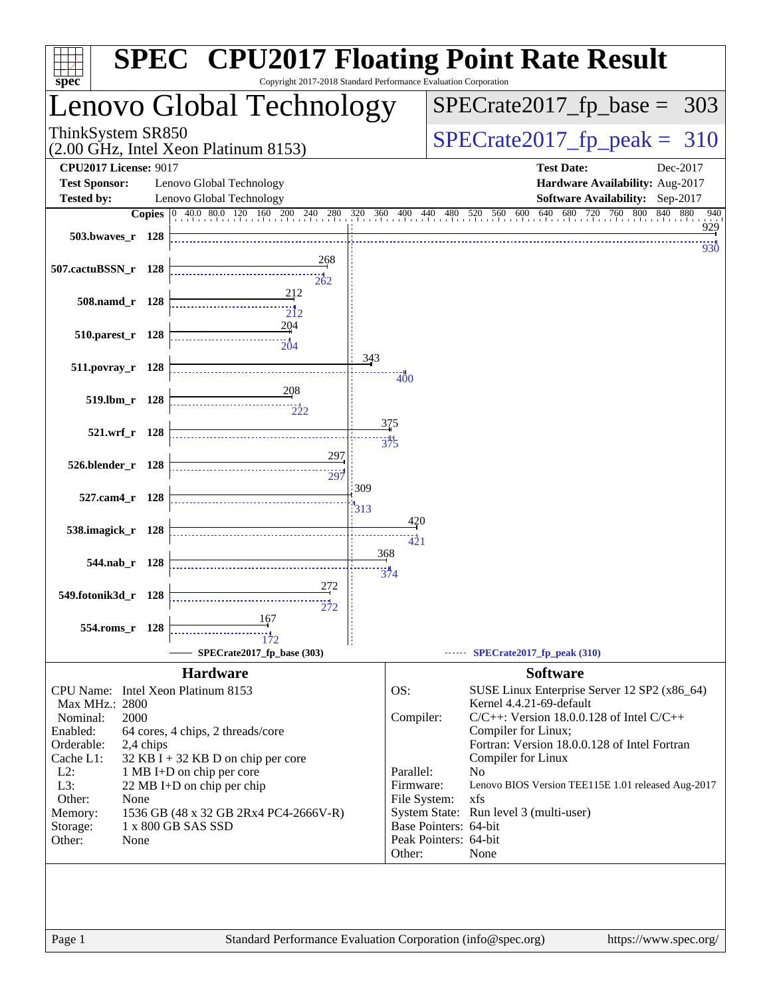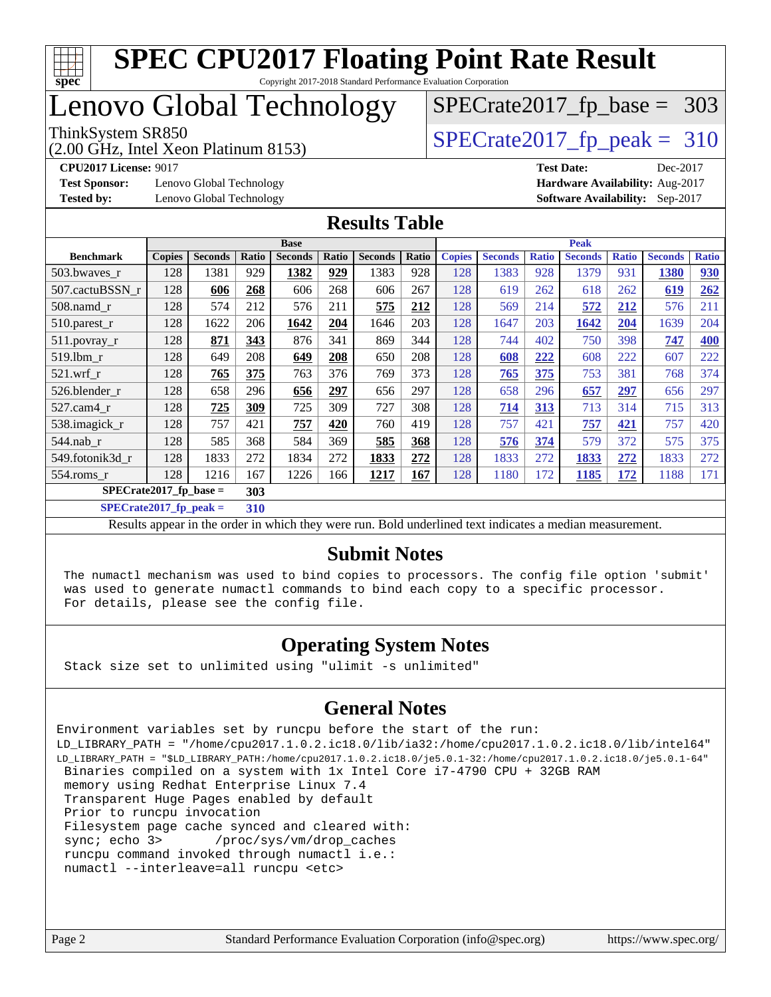

# Lenovo Global Technology

(2.00 GHz, Intel Xeon Platinum 8153)

ThinkSystem SR850<br>(2.00 GHz, Intel Xeon Platinum 8153)  $\begin{array}{r} | \text{SPECrate2017\_fp\_peak} = 310 \end{array}$ 

[SPECrate2017\\_fp\\_base =](http://www.spec.org/auto/cpu2017/Docs/result-fields.html#SPECrate2017fpbase) 303

**[Test Sponsor:](http://www.spec.org/auto/cpu2017/Docs/result-fields.html#TestSponsor)** Lenovo Global Technology **[Hardware Availability:](http://www.spec.org/auto/cpu2017/Docs/result-fields.html#HardwareAvailability)** Aug-2017 **[Tested by:](http://www.spec.org/auto/cpu2017/Docs/result-fields.html#Testedby)** Lenovo Global Technology **[Software Availability:](http://www.spec.org/auto/cpu2017/Docs/result-fields.html#SoftwareAvailability)** Sep-2017

**[CPU2017 License:](http://www.spec.org/auto/cpu2017/Docs/result-fields.html#CPU2017License)** 9017 **[Test Date:](http://www.spec.org/auto/cpu2017/Docs/result-fields.html#TestDate)** Dec-2017

#### **[Results Table](http://www.spec.org/auto/cpu2017/Docs/result-fields.html#ResultsTable)**

|                                  | <b>Base</b>   |                |       |                |       | <b>Peak</b>    |       |               |                |              |                |              |                |              |
|----------------------------------|---------------|----------------|-------|----------------|-------|----------------|-------|---------------|----------------|--------------|----------------|--------------|----------------|--------------|
| <b>Benchmark</b>                 | <b>Copies</b> | <b>Seconds</b> | Ratio | <b>Seconds</b> | Ratio | <b>Seconds</b> | Ratio | <b>Copies</b> | <b>Seconds</b> | <b>Ratio</b> | <b>Seconds</b> | <b>Ratio</b> | <b>Seconds</b> | <b>Ratio</b> |
| 503.bwaves_r                     | 128           | 1381           | 929   | 1382           | 929   | 1383           | 928   | 128           | 1383           | 928          | 1379           | 931          | 1380           | 930          |
| 507.cactuBSSN r                  | 128           | 606            | 268   | 606            | 268   | 606            | 267   | 128           | 619            | 262          | 618            | 262          | 619            | 262          |
| $508$ .namd $r$                  | 128           | 574            | 212   | 576            | 211   | 575            | 212   | 128           | 569            | 214          | 572            | 212          | 576            | 211          |
| 510.parest_r                     | 128           | 1622           | 206   | 1642           | 204   | 1646           | 203   | 128           | 1647           | 203          | 1642           | 204          | 1639           | 204          |
| 511.povray_r                     | 128           | 871            | 343   | 876            | 341   | 869            | 344   | 128           | 744            | 402          | 750            | 398          | 747            | 400          |
| 519.1bm r                        | 128           | 649            | 208   | 649            | 208   | 650            | 208   | 128           | 608            | 222          | 608            | 222          | 607            | 222          |
| $521$ .wrf r                     | 128           | 765            | 375   | 763            | 376   | 769            | 373   | 128           | 765            | 375          | 753            | 381          | 768            | 374          |
| 526.blender r                    | 128           | 658            | 296   | 656            | 297   | 656            | 297   | 128           | 658            | 296          | 657            | 297          | 656            | 297          |
| $527$ .cam $4r$                  | 128           | 725            | 309   | 725            | 309   | 727            | 308   | 128           | 714            | 313          | 713            | 314          | 715            | 313          |
| 538.imagick r                    | 128           | 757            | 421   | 757            | 420   | 760            | 419   | 128           | 757            | 421          | 757            | 421          | 757            | 420          |
| $544$ .nab r                     | 128           | 585            | 368   | 584            | 369   | 585            | 368   | 128           | 576            | 374          | 579            | 372          | 575            | 375          |
| 549.fotonik3d_r                  | 128           | 1833           | 272   | 1834           | 272   | 1833           | 272   | 128           | 1833           | 272          | 1833           | 272          | 1833           | 272          |
| $554$ .roms_r                    | 128           | 1216           | 167   | 1226           | 166   | 1217           | 167   | 128           | 1180           | 172          | 1185           | 172          | 1188           | 171          |
| $SPECrate2017_fp\_base =$<br>303 |               |                |       |                |       |                |       |               |                |              |                |              |                |              |

**[SPECrate2017\\_fp\\_peak =](http://www.spec.org/auto/cpu2017/Docs/result-fields.html#SPECrate2017fppeak) 310**

Results appear in the [order in which they were run](http://www.spec.org/auto/cpu2017/Docs/result-fields.html#RunOrder). Bold underlined text [indicates a median measurement](http://www.spec.org/auto/cpu2017/Docs/result-fields.html#Median).

#### **[Submit Notes](http://www.spec.org/auto/cpu2017/Docs/result-fields.html#SubmitNotes)**

 The numactl mechanism was used to bind copies to processors. The config file option 'submit' was used to generate numactl commands to bind each copy to a specific processor. For details, please see the config file.

#### **[Operating System Notes](http://www.spec.org/auto/cpu2017/Docs/result-fields.html#OperatingSystemNotes)**

Stack size set to unlimited using "ulimit -s unlimited"

#### **[General Notes](http://www.spec.org/auto/cpu2017/Docs/result-fields.html#GeneralNotes)**

Environment variables set by runcpu before the start of the run: LD\_LIBRARY\_PATH = "/home/cpu2017.1.0.2.ic18.0/lib/ia32:/home/cpu2017.1.0.2.ic18.0/lib/intel64" LD\_LIBRARY\_PATH = "\$LD\_LIBRARY\_PATH:/home/cpu2017.1.0.2.ic18.0/je5.0.1-32:/home/cpu2017.1.0.2.ic18.0/je5.0.1-64" Binaries compiled on a system with 1x Intel Core i7-4790 CPU + 32GB RAM memory using Redhat Enterprise Linux 7.4 Transparent Huge Pages enabled by default Prior to runcpu invocation Filesystem page cache synced and cleared with: sync; echo 3> /proc/sys/vm/drop\_caches runcpu command invoked through numactl i.e.: numactl --interleave=all runcpu <etc>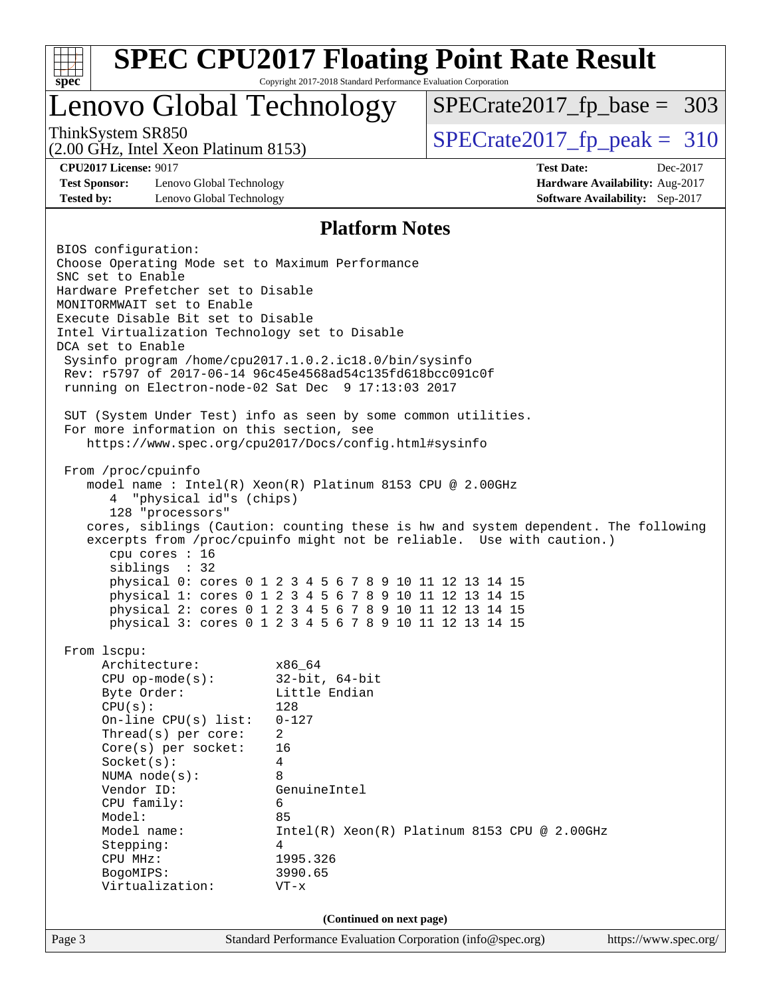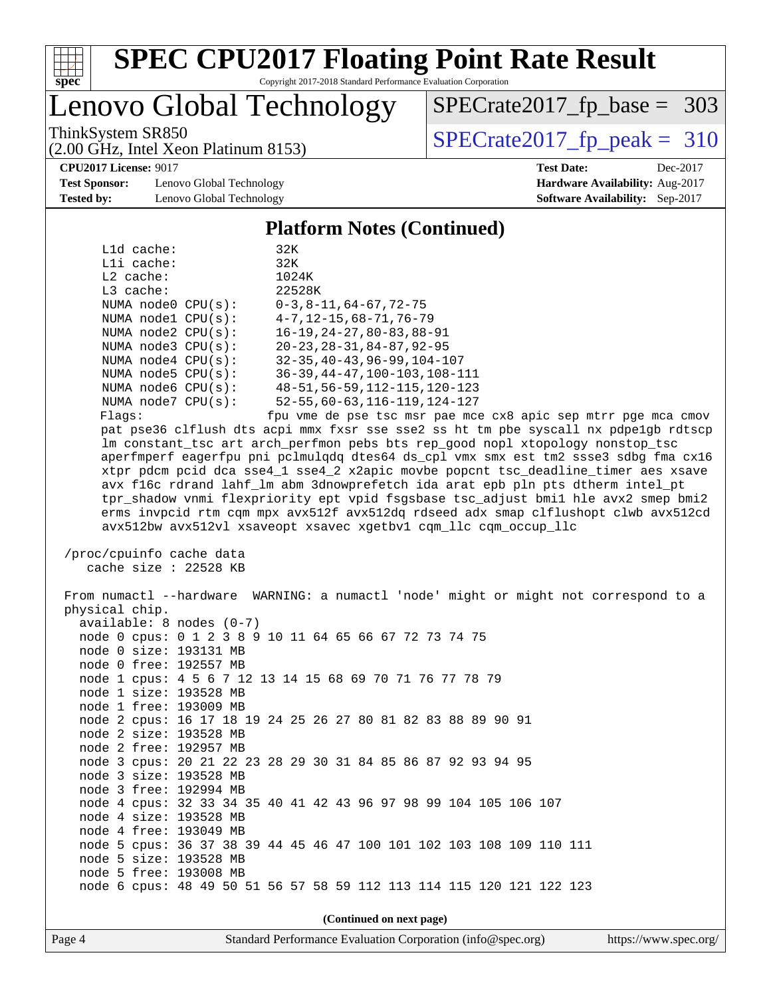

# **[SPEC CPU2017 Floating Point Rate Result](http://www.spec.org/auto/cpu2017/Docs/result-fields.html#SPECCPU2017FloatingPointRateResult)**

Copyright 2017-2018 Standard Performance Evaluation Corporation

### Lenovo Global Technology

(2.00 GHz, Intel Xeon Platinum 8153)

ThinkSystem SR850<br>  $(2.00 \text{ GHz})$  Intel Xeon Platinum 8153) [SPECrate2017\\_fp\\_peak =](http://www.spec.org/auto/cpu2017/Docs/result-fields.html#SPECrate2017fppeak) 310

[SPECrate2017\\_fp\\_base =](http://www.spec.org/auto/cpu2017/Docs/result-fields.html#SPECrate2017fpbase) 303

**[CPU2017 License:](http://www.spec.org/auto/cpu2017/Docs/result-fields.html#CPU2017License)** 9017 **[Test Date:](http://www.spec.org/auto/cpu2017/Docs/result-fields.html#TestDate)** Dec-2017

**[Test Sponsor:](http://www.spec.org/auto/cpu2017/Docs/result-fields.html#TestSponsor)** Lenovo Global Technology **[Hardware Availability:](http://www.spec.org/auto/cpu2017/Docs/result-fields.html#HardwareAvailability)** Aug-2017 **[Tested by:](http://www.spec.org/auto/cpu2017/Docs/result-fields.html#Testedby)** Lenovo Global Technology **[Software Availability:](http://www.spec.org/auto/cpu2017/Docs/result-fields.html#SoftwareAvailability)** Sep-2017

# **[Platform Notes \(Continued\)](http://www.spec.org/auto/cpu2017/Docs/result-fields.html#PlatformNotes)**

 L1d cache: 32K L1i cache: 32K L2 cache: 1024K L3 cache: 22528K NUMA node0 CPU(s): 0-3,8-11,64-67,72-75 NUMA node1 CPU(s): 4-7,12-15,68-71,76-79 NUMA node2 CPU(s): 16-19,24-27,80-83,88-91 NUMA node3 CPU(s): 20-23,28-31,84-87,92-95 NUMA node4 CPU(s): 32-35,40-43,96-99,104-107 NUMA node5 CPU(s): 36-39,44-47,100-103,108-111 NUMA node6 CPU(s): 48-51,56-59,112-115,120-123 NUMA node7 CPU(s): 52-55,60-63,116-119,124-127

Flags: fpu vme de pse tsc msr pae mce cx8 apic sep mtrr pge mca cmov pat pse36 clflush dts acpi mmx fxsr sse sse2 ss ht tm pbe syscall nx pdpe1gb rdtscp lm constant\_tsc art arch\_perfmon pebs bts rep\_good nopl xtopology nonstop\_tsc aperfmperf eagerfpu pni pclmulqdq dtes64 ds\_cpl vmx smx est tm2 ssse3 sdbg fma cx16 xtpr pdcm pcid dca sse4\_1 sse4\_2 x2apic movbe popcnt tsc\_deadline\_timer aes xsave avx f16c rdrand lahf\_lm abm 3dnowprefetch ida arat epb pln pts dtherm intel\_pt tpr\_shadow vnmi flexpriority ept vpid fsgsbase tsc\_adjust bmi1 hle avx2 smep bmi2 erms invpcid rtm cqm mpx avx512f avx512dq rdseed adx smap clflushopt clwb avx512cd avx512bw avx512vl xsaveopt xsavec xgetbv1 cqm\_llc cqm\_occup\_llc

 /proc/cpuinfo cache data cache size : 22528 KB

 From numactl --hardware WARNING: a numactl 'node' might or might not correspond to a physical chip. available: 8 nodes (0-7) node 0 cpus: 0 1 2 3 8 9 10 11 64 65 66 67 72 73 74 75 node 0 size: 193131 MB node 0 free: 192557 MB node 1 cpus: 4 5 6 7 12 13 14 15 68 69 70 71 76 77 78 79 node 1 size: 193528 MB node 1 free: 193009 MB node 2 cpus: 16 17 18 19 24 25 26 27 80 81 82 83 88 89 90 91 node 2 size: 193528 MB node 2 free: 192957 MB node 3 cpus: 20 21 22 23 28 29 30 31 84 85 86 87 92 93 94 95 node 3 size: 193528 MB node 3 free: 192994 MB node 4 cpus: 32 33 34 35 40 41 42 43 96 97 98 99 104 105 106 107 node 4 size: 193528 MB node 4 free: 193049 MB node 5 cpus: 36 37 38 39 44 45 46 47 100 101 102 103 108 109 110 111 node 5 size: 193528 MB node 5 free: 193008 MB node 6 cpus: 48 49 50 51 56 57 58 59 112 113 114 115 120 121 122 123 **(Continued on next page)**

Page 4 Standard Performance Evaluation Corporation [\(info@spec.org\)](mailto:info@spec.org) <https://www.spec.org/>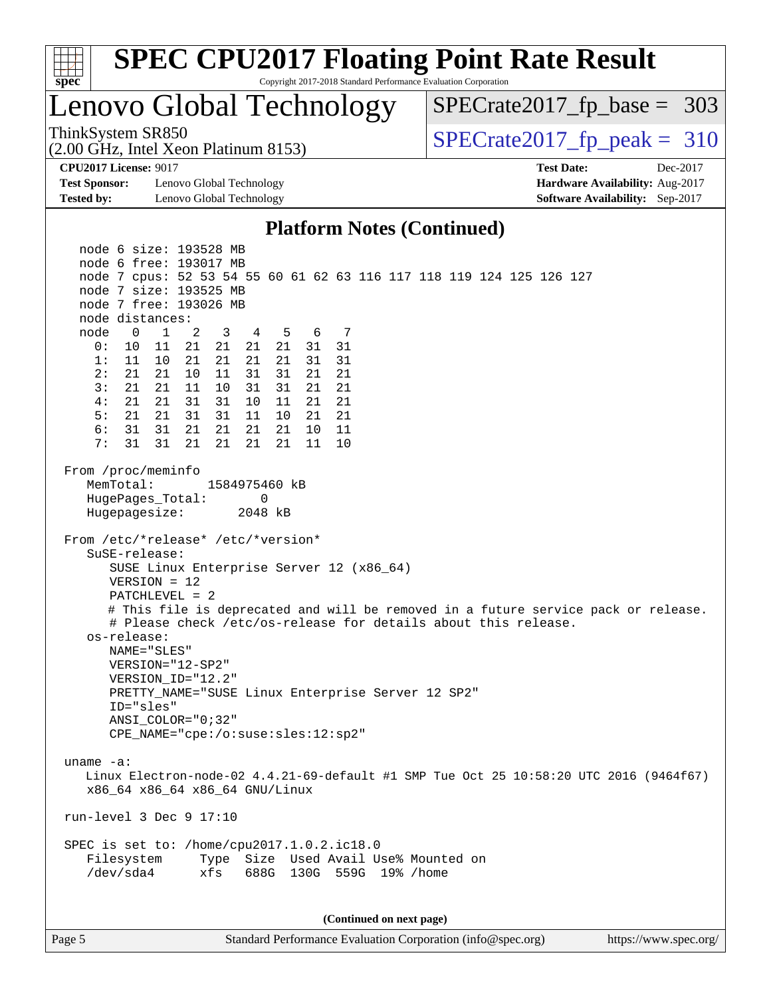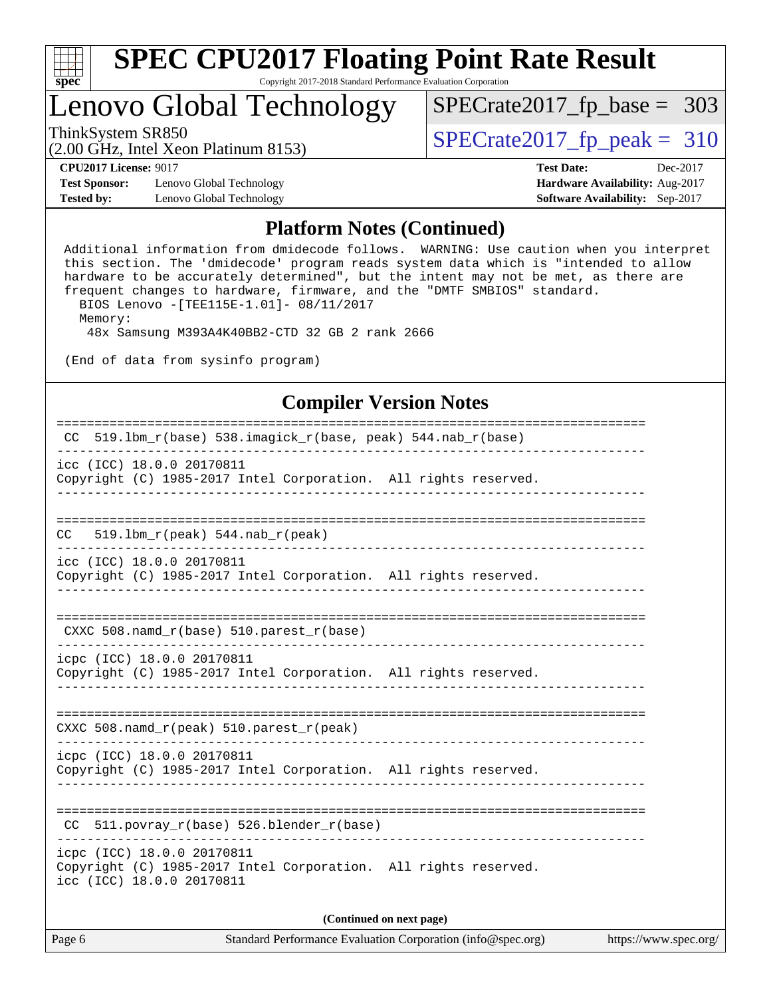

### Lenovo Global Technology

ThinkSystem SR850<br>(2.00 GHz, Intel Xeon Platinum 8153)  $\begin{array}{r} | \text{SPECrate2017\_fp\_peak = 310} \ \end{array}$ 

[SPECrate2017\\_fp\\_base =](http://www.spec.org/auto/cpu2017/Docs/result-fields.html#SPECrate2017fpbase) 303

(2.00 GHz, Intel Xeon Platinum 8153)

**[Test Sponsor:](http://www.spec.org/auto/cpu2017/Docs/result-fields.html#TestSponsor)** Lenovo Global Technology **[Hardware Availability:](http://www.spec.org/auto/cpu2017/Docs/result-fields.html#HardwareAvailability)** Aug-2017 **[Tested by:](http://www.spec.org/auto/cpu2017/Docs/result-fields.html#Testedby)** Lenovo Global Technology **[Software Availability:](http://www.spec.org/auto/cpu2017/Docs/result-fields.html#SoftwareAvailability)** Sep-2017

**[CPU2017 License:](http://www.spec.org/auto/cpu2017/Docs/result-fields.html#CPU2017License)** 9017 **[Test Date:](http://www.spec.org/auto/cpu2017/Docs/result-fields.html#TestDate)** Dec-2017

#### **[Platform Notes \(Continued\)](http://www.spec.org/auto/cpu2017/Docs/result-fields.html#PlatformNotes)**

 Additional information from dmidecode follows. WARNING: Use caution when you interpret this section. The 'dmidecode' program reads system data which is "intended to allow hardware to be accurately determined", but the intent may not be met, as there are frequent changes to hardware, firmware, and the "DMTF SMBIOS" standard. BIOS Lenovo -[TEE115E-1.01]- 08/11/2017 Memory: 48x Samsung M393A4K40BB2-CTD 32 GB 2 rank 2666

(End of data from sysinfo program)

#### **[Compiler Version Notes](http://www.spec.org/auto/cpu2017/Docs/result-fields.html#CompilerVersionNotes)**

| CC 519.1bm_r(base) 538.imagick_r(base, peak) 544.nab_r(base)                                                               |  |  |  |  |  |  |
|----------------------------------------------------------------------------------------------------------------------------|--|--|--|--|--|--|
| icc (ICC) 18.0.0 20170811<br>Copyright (C) 1985-2017 Intel Corporation. All rights reserved.                               |  |  |  |  |  |  |
| 519.1bm $r(\text{peak})$ 544.nab $r(\text{peak})$<br>CC.                                                                   |  |  |  |  |  |  |
| icc (ICC) 18.0.0 20170811<br>Copyright (C) 1985-2017 Intel Corporation. All rights reserved.                               |  |  |  |  |  |  |
| $CXXC 508.namd_r(base) 510.parest_r(base)$                                                                                 |  |  |  |  |  |  |
| icpc (ICC) 18.0.0 20170811<br>Copyright (C) 1985-2017 Intel Corporation. All rights reserved.                              |  |  |  |  |  |  |
| $CXXC 508.namd_r (peak) 510.parest_r (peak)$                                                                               |  |  |  |  |  |  |
| icpc (ICC) 18.0.0 20170811<br>Copyright (C) 1985-2017 Intel Corporation. All rights reserved.                              |  |  |  |  |  |  |
| CC 511.povray_r(base) 526.blender_r(base)                                                                                  |  |  |  |  |  |  |
| icpc (ICC) 18.0.0 20170811<br>Copyright (C) 1985-2017 Intel Corporation. All rights reserved.<br>icc (ICC) 18.0.0 20170811 |  |  |  |  |  |  |
| (Continued on next page)                                                                                                   |  |  |  |  |  |  |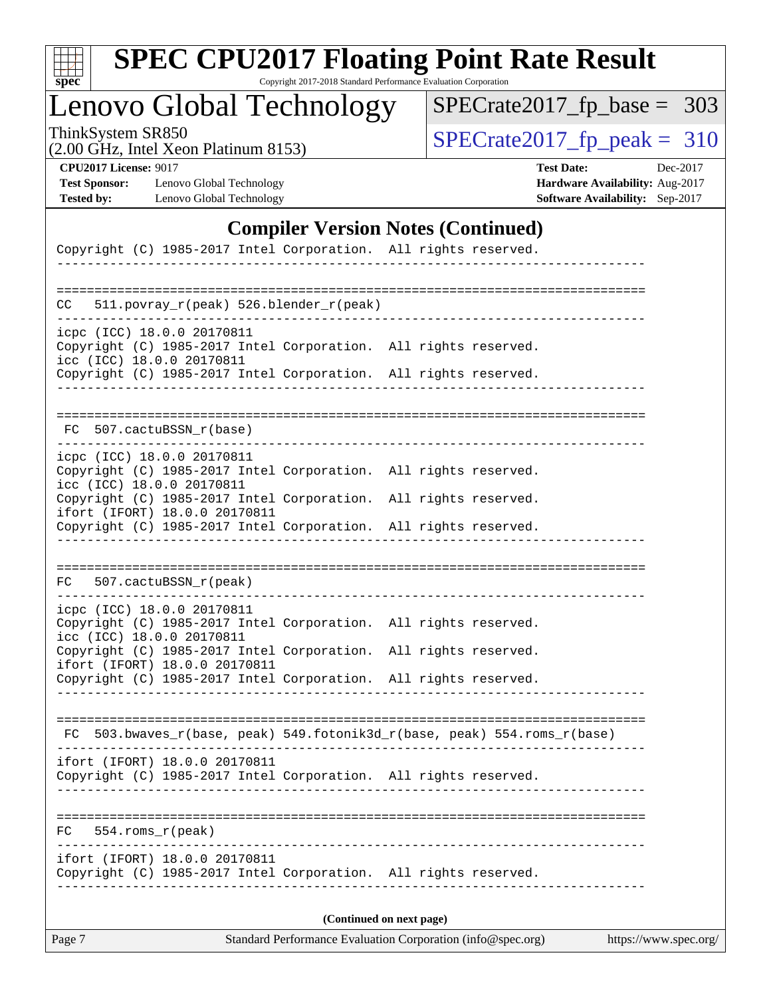| c<br>E<br>S<br>L<br>Ġ. |  |  |  |  |  |  |
|------------------------|--|--|--|--|--|--|

# **[SPEC CPU2017 Floating Point Rate Result](http://www.spec.org/auto/cpu2017/Docs/result-fields.html#SPECCPU2017FloatingPointRateResult)**

Copyright 2017-2018 Standard Performance Evaluation Corporation

## Lenovo Global Technology

ThinkSystem SR850<br>  $\sqrt{3}$  OO GHz Intel Yeon Platinum 8153)<br> [SPECrate2017\\_fp\\_peak =](http://www.spec.org/auto/cpu2017/Docs/result-fields.html#SPECrate2017fppeak) 310

[SPECrate2017\\_fp\\_base =](http://www.spec.org/auto/cpu2017/Docs/result-fields.html#SPECrate2017fpbase) 303

(2.00 GHz, Intel Xeon Platinum 8153)

**[CPU2017 License:](http://www.spec.org/auto/cpu2017/Docs/result-fields.html#CPU2017License)** 9017 **[Test Date:](http://www.spec.org/auto/cpu2017/Docs/result-fields.html#TestDate)** Dec-2017 **[Test Sponsor:](http://www.spec.org/auto/cpu2017/Docs/result-fields.html#TestSponsor)** Lenovo Global Technology **[Hardware Availability:](http://www.spec.org/auto/cpu2017/Docs/result-fields.html#HardwareAvailability)** Aug-2017 **[Tested by:](http://www.spec.org/auto/cpu2017/Docs/result-fields.html#Testedby)** Lenovo Global Technology **[Software Availability:](http://www.spec.org/auto/cpu2017/Docs/result-fields.html#SoftwareAvailability)** Sep-2017

### **[Compiler Version Notes \(Continued\)](http://www.spec.org/auto/cpu2017/Docs/result-fields.html#CompilerVersionNotes)**

| Copyright (C) 1985-2017 Intel Corporation. All rights reserved.                                                            |                                     |  |  |  |  |  |  |
|----------------------------------------------------------------------------------------------------------------------------|-------------------------------------|--|--|--|--|--|--|
|                                                                                                                            |                                     |  |  |  |  |  |  |
| ===========<br>511.povray_r(peak) 526.blender_r(peak)<br>CC                                                                | =================================== |  |  |  |  |  |  |
| icpc (ICC) 18.0.0 20170811<br>Copyright (C) 1985-2017 Intel Corporation. All rights reserved.<br>icc (ICC) 18.0.0 20170811 |                                     |  |  |  |  |  |  |
| Copyright (C) 1985-2017 Intel Corporation. All rights reserved.                                                            |                                     |  |  |  |  |  |  |
|                                                                                                                            |                                     |  |  |  |  |  |  |
| 507.cactuBSSN r(base)<br>FC.                                                                                               |                                     |  |  |  |  |  |  |
| icpc (ICC) 18.0.0 20170811<br>Copyright (C) 1985-2017 Intel Corporation. All rights reserved.                              |                                     |  |  |  |  |  |  |
| icc (ICC) 18.0.0 20170811<br>Copyright (C) 1985-2017 Intel Corporation.                                                    | All rights reserved.                |  |  |  |  |  |  |
| ifort (IFORT) 18.0.0 20170811<br>Copyright (C) 1985-2017 Intel Corporation. All rights reserved.                           |                                     |  |  |  |  |  |  |
| 507.cactuBSSN_r(peak)<br>FC                                                                                                |                                     |  |  |  |  |  |  |
| icpc (ICC) 18.0.0 20170811<br>Copyright (C) 1985-2017 Intel Corporation. All rights reserved.<br>icc (ICC) 18.0.0 20170811 |                                     |  |  |  |  |  |  |
| Copyright (C) 1985-2017 Intel Corporation.<br>ifort (IFORT) 18.0.0 20170811                                                | All rights reserved.                |  |  |  |  |  |  |
| Copyright (C) 1985-2017 Intel Corporation. All rights reserved.                                                            |                                     |  |  |  |  |  |  |
|                                                                                                                            |                                     |  |  |  |  |  |  |
| FC 503.bwaves_r(base, peak) 549.fotonik3d_r(base, peak) 554.roms_r(base)                                                   |                                     |  |  |  |  |  |  |
| ifort (IFORT) 18.0.0 20170811<br>Copyright (C) 1985-2017 Intel Corporation. All rights reserved.                           |                                     |  |  |  |  |  |  |
| $554.$ roms $r(\text{peak})$<br>FC                                                                                         |                                     |  |  |  |  |  |  |
| ifort (IFORT) 18.0.0 20170811<br>Copyright (C) 1985-2017 Intel Corporation. All rights reserved.                           |                                     |  |  |  |  |  |  |
| (Continued on next page)                                                                                                   |                                     |  |  |  |  |  |  |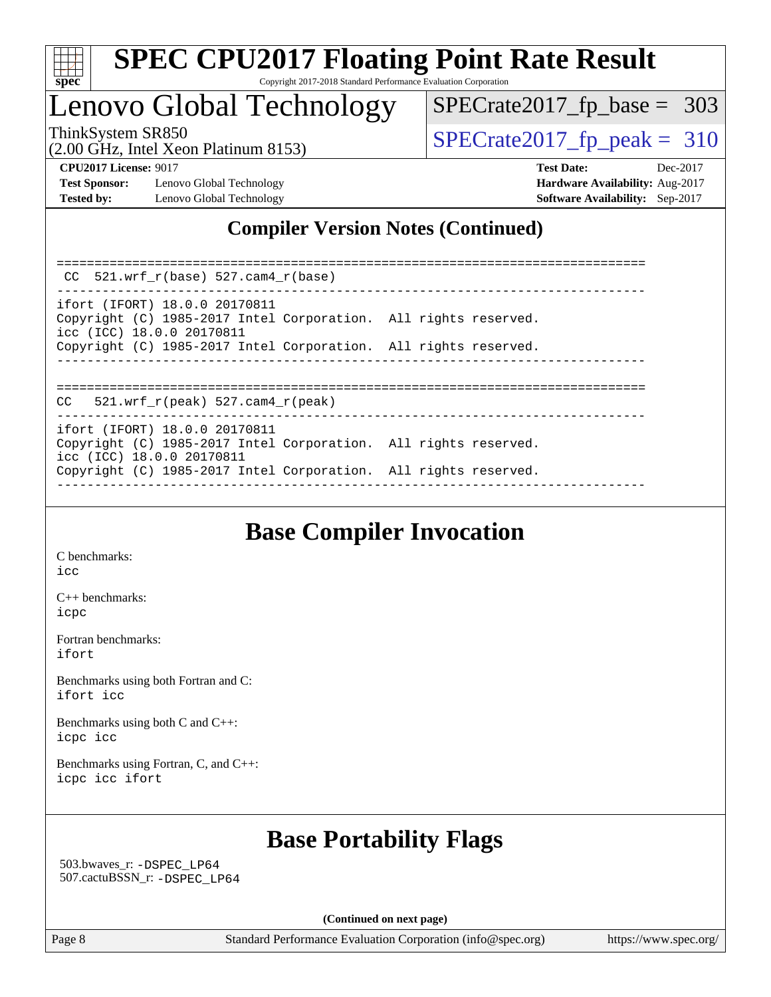

# Lenovo Global Technology

ThinkSystem SR850<br>  $\frac{1}{2000}$  CH<sub>z</sub> Intel Year Platinum 8153)<br> [SPECrate2017\\_fp\\_peak =](http://www.spec.org/auto/cpu2017/Docs/result-fields.html#SPECrate2017fppeak) 310

[SPECrate2017\\_fp\\_base =](http://www.spec.org/auto/cpu2017/Docs/result-fields.html#SPECrate2017fpbase) 303

(2.00 GHz, Intel Xeon Platinum 8153)

**[CPU2017 License:](http://www.spec.org/auto/cpu2017/Docs/result-fields.html#CPU2017License)** 9017 **[Test Date:](http://www.spec.org/auto/cpu2017/Docs/result-fields.html#TestDate)** Dec-2017 **[Test Sponsor:](http://www.spec.org/auto/cpu2017/Docs/result-fields.html#TestSponsor)** Lenovo Global Technology **[Hardware Availability:](http://www.spec.org/auto/cpu2017/Docs/result-fields.html#HardwareAvailability)** Aug-2017 **[Tested by:](http://www.spec.org/auto/cpu2017/Docs/result-fields.html#Testedby)** Lenovo Global Technology **[Software Availability:](http://www.spec.org/auto/cpu2017/Docs/result-fields.html#SoftwareAvailability)** Sep-2017

### **[Compiler Version Notes \(Continued\)](http://www.spec.org/auto/cpu2017/Docs/result-fields.html#CompilerVersionNotes)**

============================================================================== CC 521.wrf\_r(base) 527.cam4\_r(base) ----------------------------------------------------------------------------- ifort (IFORT) 18.0.0 20170811 Copyright (C) 1985-2017 Intel Corporation. All rights reserved. icc (ICC) 18.0.0 20170811 Copyright (C) 1985-2017 Intel Corporation. All rights reserved. ------------------------------------------------------------------------------ ============================================================================== CC 521.wrf\_r(peak) 527.cam4\_r(peak) ----------------------------------------------------------------------------- ifort (IFORT) 18.0.0 20170811 Copyright (C) 1985-2017 Intel Corporation. All rights reserved. icc (ICC) 18.0.0 20170811 Copyright (C) 1985-2017 Intel Corporation. All rights reserved. ------------------------------------------------------------------------------

### **[Base Compiler Invocation](http://www.spec.org/auto/cpu2017/Docs/result-fields.html#BaseCompilerInvocation)**

[C benchmarks](http://www.spec.org/auto/cpu2017/Docs/result-fields.html#Cbenchmarks): [icc](http://www.spec.org/cpu2017/results/res2017q4/cpu2017-20171212-01651.flags.html#user_CCbase_intel_icc_18.0_66fc1ee009f7361af1fbd72ca7dcefbb700085f36577c54f309893dd4ec40d12360134090235512931783d35fd58c0460139e722d5067c5574d8eaf2b3e37e92)

[C++ benchmarks:](http://www.spec.org/auto/cpu2017/Docs/result-fields.html#CXXbenchmarks) [icpc](http://www.spec.org/cpu2017/results/res2017q4/cpu2017-20171212-01651.flags.html#user_CXXbase_intel_icpc_18.0_c510b6838c7f56d33e37e94d029a35b4a7bccf4766a728ee175e80a419847e808290a9b78be685c44ab727ea267ec2f070ec5dc83b407c0218cded6866a35d07)

[Fortran benchmarks](http://www.spec.org/auto/cpu2017/Docs/result-fields.html#Fortranbenchmarks): [ifort](http://www.spec.org/cpu2017/results/res2017q4/cpu2017-20171212-01651.flags.html#user_FCbase_intel_ifort_18.0_8111460550e3ca792625aed983ce982f94888b8b503583aa7ba2b8303487b4d8a21a13e7191a45c5fd58ff318f48f9492884d4413fa793fd88dd292cad7027ca)

[Benchmarks using both Fortran and C](http://www.spec.org/auto/cpu2017/Docs/result-fields.html#BenchmarksusingbothFortranandC): [ifort](http://www.spec.org/cpu2017/results/res2017q4/cpu2017-20171212-01651.flags.html#user_CC_FCbase_intel_ifort_18.0_8111460550e3ca792625aed983ce982f94888b8b503583aa7ba2b8303487b4d8a21a13e7191a45c5fd58ff318f48f9492884d4413fa793fd88dd292cad7027ca) [icc](http://www.spec.org/cpu2017/results/res2017q4/cpu2017-20171212-01651.flags.html#user_CC_FCbase_intel_icc_18.0_66fc1ee009f7361af1fbd72ca7dcefbb700085f36577c54f309893dd4ec40d12360134090235512931783d35fd58c0460139e722d5067c5574d8eaf2b3e37e92)

[Benchmarks using both C and C++](http://www.spec.org/auto/cpu2017/Docs/result-fields.html#BenchmarksusingbothCandCXX): [icpc](http://www.spec.org/cpu2017/results/res2017q4/cpu2017-20171212-01651.flags.html#user_CC_CXXbase_intel_icpc_18.0_c510b6838c7f56d33e37e94d029a35b4a7bccf4766a728ee175e80a419847e808290a9b78be685c44ab727ea267ec2f070ec5dc83b407c0218cded6866a35d07) [icc](http://www.spec.org/cpu2017/results/res2017q4/cpu2017-20171212-01651.flags.html#user_CC_CXXbase_intel_icc_18.0_66fc1ee009f7361af1fbd72ca7dcefbb700085f36577c54f309893dd4ec40d12360134090235512931783d35fd58c0460139e722d5067c5574d8eaf2b3e37e92)

[Benchmarks using Fortran, C, and C++:](http://www.spec.org/auto/cpu2017/Docs/result-fields.html#BenchmarksusingFortranCandCXX) [icpc](http://www.spec.org/cpu2017/results/res2017q4/cpu2017-20171212-01651.flags.html#user_CC_CXX_FCbase_intel_icpc_18.0_c510b6838c7f56d33e37e94d029a35b4a7bccf4766a728ee175e80a419847e808290a9b78be685c44ab727ea267ec2f070ec5dc83b407c0218cded6866a35d07) [icc](http://www.spec.org/cpu2017/results/res2017q4/cpu2017-20171212-01651.flags.html#user_CC_CXX_FCbase_intel_icc_18.0_66fc1ee009f7361af1fbd72ca7dcefbb700085f36577c54f309893dd4ec40d12360134090235512931783d35fd58c0460139e722d5067c5574d8eaf2b3e37e92) [ifort](http://www.spec.org/cpu2017/results/res2017q4/cpu2017-20171212-01651.flags.html#user_CC_CXX_FCbase_intel_ifort_18.0_8111460550e3ca792625aed983ce982f94888b8b503583aa7ba2b8303487b4d8a21a13e7191a45c5fd58ff318f48f9492884d4413fa793fd88dd292cad7027ca)

### **[Base Portability Flags](http://www.spec.org/auto/cpu2017/Docs/result-fields.html#BasePortabilityFlags)**

 503.bwaves\_r: [-DSPEC\\_LP64](http://www.spec.org/cpu2017/results/res2017q4/cpu2017-20171212-01651.flags.html#suite_basePORTABILITY503_bwaves_r_DSPEC_LP64) 507.cactuBSSN\_r: [-DSPEC\\_LP64](http://www.spec.org/cpu2017/results/res2017q4/cpu2017-20171212-01651.flags.html#suite_basePORTABILITY507_cactuBSSN_r_DSPEC_LP64)

**(Continued on next page)**

Page 8 Standard Performance Evaluation Corporation [\(info@spec.org\)](mailto:info@spec.org) <https://www.spec.org/>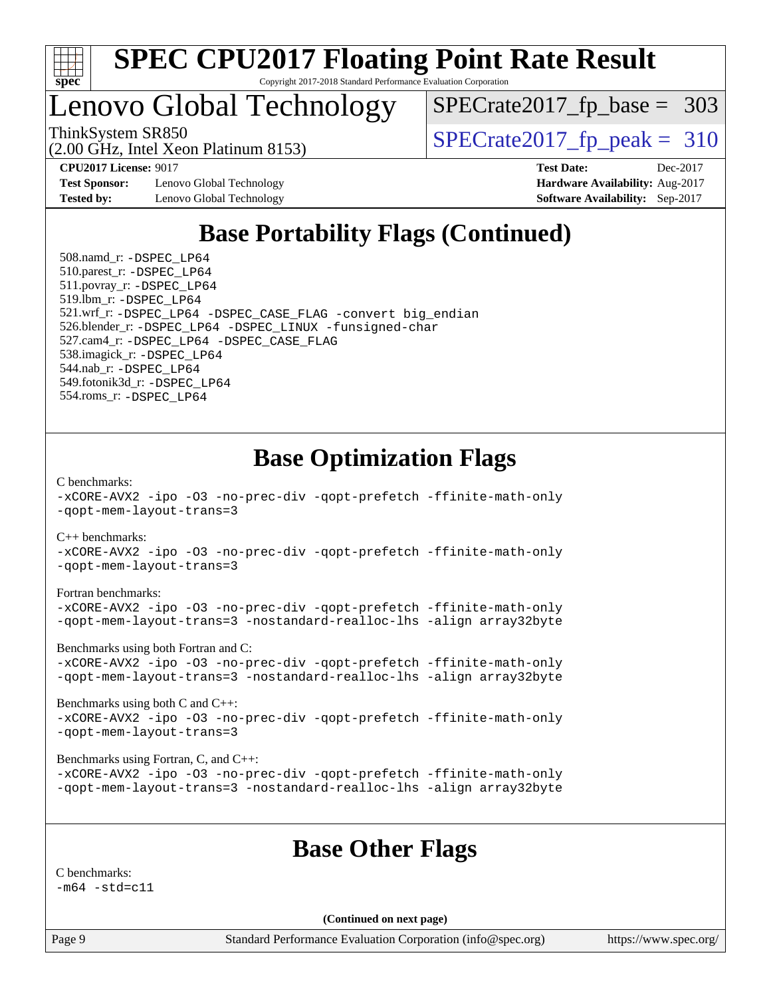

# Lenovo Global Technology

[SPECrate2017\\_fp\\_base =](http://www.spec.org/auto/cpu2017/Docs/result-fields.html#SPECrate2017fpbase) 303

(2.00 GHz, Intel Xeon Platinum 8153) ThinkSystem SR850<br>  $(2.00 \text{ GHz})$  Intel Xeon Platinum 8153) [SPECrate2017\\_fp\\_peak =](http://www.spec.org/auto/cpu2017/Docs/result-fields.html#SPECrate2017fppeak) 310

**[Test Sponsor:](http://www.spec.org/auto/cpu2017/Docs/result-fields.html#TestSponsor)** Lenovo Global Technology **[Hardware Availability:](http://www.spec.org/auto/cpu2017/Docs/result-fields.html#HardwareAvailability)** Aug-2017 **[Tested by:](http://www.spec.org/auto/cpu2017/Docs/result-fields.html#Testedby)** Lenovo Global Technology **[Software Availability:](http://www.spec.org/auto/cpu2017/Docs/result-fields.html#SoftwareAvailability)** Sep-2017

**[CPU2017 License:](http://www.spec.org/auto/cpu2017/Docs/result-fields.html#CPU2017License)** 9017 **[Test Date:](http://www.spec.org/auto/cpu2017/Docs/result-fields.html#TestDate)** Dec-2017

### **[Base Portability Flags \(Continued\)](http://www.spec.org/auto/cpu2017/Docs/result-fields.html#BasePortabilityFlags)**

 508.namd\_r: [-DSPEC\\_LP64](http://www.spec.org/cpu2017/results/res2017q4/cpu2017-20171212-01651.flags.html#suite_basePORTABILITY508_namd_r_DSPEC_LP64) 510.parest\_r: [-DSPEC\\_LP64](http://www.spec.org/cpu2017/results/res2017q4/cpu2017-20171212-01651.flags.html#suite_basePORTABILITY510_parest_r_DSPEC_LP64) 511.povray\_r: [-DSPEC\\_LP64](http://www.spec.org/cpu2017/results/res2017q4/cpu2017-20171212-01651.flags.html#suite_basePORTABILITY511_povray_r_DSPEC_LP64) 519.lbm\_r: [-DSPEC\\_LP64](http://www.spec.org/cpu2017/results/res2017q4/cpu2017-20171212-01651.flags.html#suite_basePORTABILITY519_lbm_r_DSPEC_LP64) 521.wrf\_r: [-DSPEC\\_LP64](http://www.spec.org/cpu2017/results/res2017q4/cpu2017-20171212-01651.flags.html#suite_basePORTABILITY521_wrf_r_DSPEC_LP64) [-DSPEC\\_CASE\\_FLAG](http://www.spec.org/cpu2017/results/res2017q4/cpu2017-20171212-01651.flags.html#b521.wrf_r_baseCPORTABILITY_DSPEC_CASE_FLAG) [-convert big\\_endian](http://www.spec.org/cpu2017/results/res2017q4/cpu2017-20171212-01651.flags.html#user_baseFPORTABILITY521_wrf_r_convert_big_endian_c3194028bc08c63ac5d04de18c48ce6d347e4e562e8892b8bdbdc0214820426deb8554edfa529a3fb25a586e65a3d812c835984020483e7e73212c4d31a38223) 526.blender\_r: [-DSPEC\\_LP64](http://www.spec.org/cpu2017/results/res2017q4/cpu2017-20171212-01651.flags.html#suite_basePORTABILITY526_blender_r_DSPEC_LP64) [-DSPEC\\_LINUX](http://www.spec.org/cpu2017/results/res2017q4/cpu2017-20171212-01651.flags.html#b526.blender_r_baseCPORTABILITY_DSPEC_LINUX) [-funsigned-char](http://www.spec.org/cpu2017/results/res2017q4/cpu2017-20171212-01651.flags.html#user_baseCPORTABILITY526_blender_r_force_uchar_40c60f00ab013830e2dd6774aeded3ff59883ba5a1fc5fc14077f794d777847726e2a5858cbc7672e36e1b067e7e5c1d9a74f7176df07886a243d7cc18edfe67) 527.cam4\_r: [-DSPEC\\_LP64](http://www.spec.org/cpu2017/results/res2017q4/cpu2017-20171212-01651.flags.html#suite_basePORTABILITY527_cam4_r_DSPEC_LP64) [-DSPEC\\_CASE\\_FLAG](http://www.spec.org/cpu2017/results/res2017q4/cpu2017-20171212-01651.flags.html#b527.cam4_r_baseCPORTABILITY_DSPEC_CASE_FLAG) 538.imagick\_r: [-DSPEC\\_LP64](http://www.spec.org/cpu2017/results/res2017q4/cpu2017-20171212-01651.flags.html#suite_basePORTABILITY538_imagick_r_DSPEC_LP64) 544.nab\_r: [-DSPEC\\_LP64](http://www.spec.org/cpu2017/results/res2017q4/cpu2017-20171212-01651.flags.html#suite_basePORTABILITY544_nab_r_DSPEC_LP64) 549.fotonik3d\_r: [-DSPEC\\_LP64](http://www.spec.org/cpu2017/results/res2017q4/cpu2017-20171212-01651.flags.html#suite_basePORTABILITY549_fotonik3d_r_DSPEC_LP64) 554.roms\_r: [-DSPEC\\_LP64](http://www.spec.org/cpu2017/results/res2017q4/cpu2017-20171212-01651.flags.html#suite_basePORTABILITY554_roms_r_DSPEC_LP64)

### **[Base Optimization Flags](http://www.spec.org/auto/cpu2017/Docs/result-fields.html#BaseOptimizationFlags)**

[C benchmarks](http://www.spec.org/auto/cpu2017/Docs/result-fields.html#Cbenchmarks):

[-xCORE-AVX2](http://www.spec.org/cpu2017/results/res2017q4/cpu2017-20171212-01651.flags.html#user_CCbase_f-xCORE-AVX2) [-ipo](http://www.spec.org/cpu2017/results/res2017q4/cpu2017-20171212-01651.flags.html#user_CCbase_f-ipo) [-O3](http://www.spec.org/cpu2017/results/res2017q4/cpu2017-20171212-01651.flags.html#user_CCbase_f-O3) [-no-prec-div](http://www.spec.org/cpu2017/results/res2017q4/cpu2017-20171212-01651.flags.html#user_CCbase_f-no-prec-div) [-qopt-prefetch](http://www.spec.org/cpu2017/results/res2017q4/cpu2017-20171212-01651.flags.html#user_CCbase_f-qopt-prefetch) [-ffinite-math-only](http://www.spec.org/cpu2017/results/res2017q4/cpu2017-20171212-01651.flags.html#user_CCbase_f_finite_math_only_cb91587bd2077682c4b38af759c288ed7c732db004271a9512da14a4f8007909a5f1427ecbf1a0fb78ff2a814402c6114ac565ca162485bbcae155b5e4258871) [-qopt-mem-layout-trans=3](http://www.spec.org/cpu2017/results/res2017q4/cpu2017-20171212-01651.flags.html#user_CCbase_f-qopt-mem-layout-trans_de80db37974c74b1f0e20d883f0b675c88c3b01e9d123adea9b28688d64333345fb62bc4a798493513fdb68f60282f9a726aa07f478b2f7113531aecce732043)

[C++ benchmarks:](http://www.spec.org/auto/cpu2017/Docs/result-fields.html#CXXbenchmarks)

[-xCORE-AVX2](http://www.spec.org/cpu2017/results/res2017q4/cpu2017-20171212-01651.flags.html#user_CXXbase_f-xCORE-AVX2) [-ipo](http://www.spec.org/cpu2017/results/res2017q4/cpu2017-20171212-01651.flags.html#user_CXXbase_f-ipo) [-O3](http://www.spec.org/cpu2017/results/res2017q4/cpu2017-20171212-01651.flags.html#user_CXXbase_f-O3) [-no-prec-div](http://www.spec.org/cpu2017/results/res2017q4/cpu2017-20171212-01651.flags.html#user_CXXbase_f-no-prec-div) [-qopt-prefetch](http://www.spec.org/cpu2017/results/res2017q4/cpu2017-20171212-01651.flags.html#user_CXXbase_f-qopt-prefetch) [-ffinite-math-only](http://www.spec.org/cpu2017/results/res2017q4/cpu2017-20171212-01651.flags.html#user_CXXbase_f_finite_math_only_cb91587bd2077682c4b38af759c288ed7c732db004271a9512da14a4f8007909a5f1427ecbf1a0fb78ff2a814402c6114ac565ca162485bbcae155b5e4258871) [-qopt-mem-layout-trans=3](http://www.spec.org/cpu2017/results/res2017q4/cpu2017-20171212-01651.flags.html#user_CXXbase_f-qopt-mem-layout-trans_de80db37974c74b1f0e20d883f0b675c88c3b01e9d123adea9b28688d64333345fb62bc4a798493513fdb68f60282f9a726aa07f478b2f7113531aecce732043)

[Fortran benchmarks](http://www.spec.org/auto/cpu2017/Docs/result-fields.html#Fortranbenchmarks):

[-xCORE-AVX2](http://www.spec.org/cpu2017/results/res2017q4/cpu2017-20171212-01651.flags.html#user_FCbase_f-xCORE-AVX2) [-ipo](http://www.spec.org/cpu2017/results/res2017q4/cpu2017-20171212-01651.flags.html#user_FCbase_f-ipo) [-O3](http://www.spec.org/cpu2017/results/res2017q4/cpu2017-20171212-01651.flags.html#user_FCbase_f-O3) [-no-prec-div](http://www.spec.org/cpu2017/results/res2017q4/cpu2017-20171212-01651.flags.html#user_FCbase_f-no-prec-div) [-qopt-prefetch](http://www.spec.org/cpu2017/results/res2017q4/cpu2017-20171212-01651.flags.html#user_FCbase_f-qopt-prefetch) [-ffinite-math-only](http://www.spec.org/cpu2017/results/res2017q4/cpu2017-20171212-01651.flags.html#user_FCbase_f_finite_math_only_cb91587bd2077682c4b38af759c288ed7c732db004271a9512da14a4f8007909a5f1427ecbf1a0fb78ff2a814402c6114ac565ca162485bbcae155b5e4258871) [-qopt-mem-layout-trans=3](http://www.spec.org/cpu2017/results/res2017q4/cpu2017-20171212-01651.flags.html#user_FCbase_f-qopt-mem-layout-trans_de80db37974c74b1f0e20d883f0b675c88c3b01e9d123adea9b28688d64333345fb62bc4a798493513fdb68f60282f9a726aa07f478b2f7113531aecce732043) [-nostandard-realloc-lhs](http://www.spec.org/cpu2017/results/res2017q4/cpu2017-20171212-01651.flags.html#user_FCbase_f_2003_std_realloc_82b4557e90729c0f113870c07e44d33d6f5a304b4f63d4c15d2d0f1fab99f5daaed73bdb9275d9ae411527f28b936061aa8b9c8f2d63842963b95c9dd6426b8a) [-align array32byte](http://www.spec.org/cpu2017/results/res2017q4/cpu2017-20171212-01651.flags.html#user_FCbase_align_array32byte_b982fe038af199962ba9a80c053b8342c548c85b40b8e86eb3cc33dee0d7986a4af373ac2d51c3f7cf710a18d62fdce2948f201cd044323541f22fc0fffc51b6)

[Benchmarks using both Fortran and C](http://www.spec.org/auto/cpu2017/Docs/result-fields.html#BenchmarksusingbothFortranandC):

[-xCORE-AVX2](http://www.spec.org/cpu2017/results/res2017q4/cpu2017-20171212-01651.flags.html#user_CC_FCbase_f-xCORE-AVX2) [-ipo](http://www.spec.org/cpu2017/results/res2017q4/cpu2017-20171212-01651.flags.html#user_CC_FCbase_f-ipo) [-O3](http://www.spec.org/cpu2017/results/res2017q4/cpu2017-20171212-01651.flags.html#user_CC_FCbase_f-O3) [-no-prec-div](http://www.spec.org/cpu2017/results/res2017q4/cpu2017-20171212-01651.flags.html#user_CC_FCbase_f-no-prec-div) [-qopt-prefetch](http://www.spec.org/cpu2017/results/res2017q4/cpu2017-20171212-01651.flags.html#user_CC_FCbase_f-qopt-prefetch) [-ffinite-math-only](http://www.spec.org/cpu2017/results/res2017q4/cpu2017-20171212-01651.flags.html#user_CC_FCbase_f_finite_math_only_cb91587bd2077682c4b38af759c288ed7c732db004271a9512da14a4f8007909a5f1427ecbf1a0fb78ff2a814402c6114ac565ca162485bbcae155b5e4258871) [-qopt-mem-layout-trans=3](http://www.spec.org/cpu2017/results/res2017q4/cpu2017-20171212-01651.flags.html#user_CC_FCbase_f-qopt-mem-layout-trans_de80db37974c74b1f0e20d883f0b675c88c3b01e9d123adea9b28688d64333345fb62bc4a798493513fdb68f60282f9a726aa07f478b2f7113531aecce732043) [-nostandard-realloc-lhs](http://www.spec.org/cpu2017/results/res2017q4/cpu2017-20171212-01651.flags.html#user_CC_FCbase_f_2003_std_realloc_82b4557e90729c0f113870c07e44d33d6f5a304b4f63d4c15d2d0f1fab99f5daaed73bdb9275d9ae411527f28b936061aa8b9c8f2d63842963b95c9dd6426b8a) [-align array32byte](http://www.spec.org/cpu2017/results/res2017q4/cpu2017-20171212-01651.flags.html#user_CC_FCbase_align_array32byte_b982fe038af199962ba9a80c053b8342c548c85b40b8e86eb3cc33dee0d7986a4af373ac2d51c3f7cf710a18d62fdce2948f201cd044323541f22fc0fffc51b6)

[Benchmarks using both C and C++](http://www.spec.org/auto/cpu2017/Docs/result-fields.html#BenchmarksusingbothCandCXX): [-xCORE-AVX2](http://www.spec.org/cpu2017/results/res2017q4/cpu2017-20171212-01651.flags.html#user_CC_CXXbase_f-xCORE-AVX2) [-ipo](http://www.spec.org/cpu2017/results/res2017q4/cpu2017-20171212-01651.flags.html#user_CC_CXXbase_f-ipo) [-O3](http://www.spec.org/cpu2017/results/res2017q4/cpu2017-20171212-01651.flags.html#user_CC_CXXbase_f-O3) [-no-prec-div](http://www.spec.org/cpu2017/results/res2017q4/cpu2017-20171212-01651.flags.html#user_CC_CXXbase_f-no-prec-div) [-qopt-prefetch](http://www.spec.org/cpu2017/results/res2017q4/cpu2017-20171212-01651.flags.html#user_CC_CXXbase_f-qopt-prefetch) [-ffinite-math-only](http://www.spec.org/cpu2017/results/res2017q4/cpu2017-20171212-01651.flags.html#user_CC_CXXbase_f_finite_math_only_cb91587bd2077682c4b38af759c288ed7c732db004271a9512da14a4f8007909a5f1427ecbf1a0fb78ff2a814402c6114ac565ca162485bbcae155b5e4258871) [-qopt-mem-layout-trans=3](http://www.spec.org/cpu2017/results/res2017q4/cpu2017-20171212-01651.flags.html#user_CC_CXXbase_f-qopt-mem-layout-trans_de80db37974c74b1f0e20d883f0b675c88c3b01e9d123adea9b28688d64333345fb62bc4a798493513fdb68f60282f9a726aa07f478b2f7113531aecce732043)

[Benchmarks using Fortran, C, and C++:](http://www.spec.org/auto/cpu2017/Docs/result-fields.html#BenchmarksusingFortranCandCXX) [-xCORE-AVX2](http://www.spec.org/cpu2017/results/res2017q4/cpu2017-20171212-01651.flags.html#user_CC_CXX_FCbase_f-xCORE-AVX2) [-ipo](http://www.spec.org/cpu2017/results/res2017q4/cpu2017-20171212-01651.flags.html#user_CC_CXX_FCbase_f-ipo) [-O3](http://www.spec.org/cpu2017/results/res2017q4/cpu2017-20171212-01651.flags.html#user_CC_CXX_FCbase_f-O3) [-no-prec-div](http://www.spec.org/cpu2017/results/res2017q4/cpu2017-20171212-01651.flags.html#user_CC_CXX_FCbase_f-no-prec-div) [-qopt-prefetch](http://www.spec.org/cpu2017/results/res2017q4/cpu2017-20171212-01651.flags.html#user_CC_CXX_FCbase_f-qopt-prefetch) [-ffinite-math-only](http://www.spec.org/cpu2017/results/res2017q4/cpu2017-20171212-01651.flags.html#user_CC_CXX_FCbase_f_finite_math_only_cb91587bd2077682c4b38af759c288ed7c732db004271a9512da14a4f8007909a5f1427ecbf1a0fb78ff2a814402c6114ac565ca162485bbcae155b5e4258871) [-qopt-mem-layout-trans=3](http://www.spec.org/cpu2017/results/res2017q4/cpu2017-20171212-01651.flags.html#user_CC_CXX_FCbase_f-qopt-mem-layout-trans_de80db37974c74b1f0e20d883f0b675c88c3b01e9d123adea9b28688d64333345fb62bc4a798493513fdb68f60282f9a726aa07f478b2f7113531aecce732043) [-nostandard-realloc-lhs](http://www.spec.org/cpu2017/results/res2017q4/cpu2017-20171212-01651.flags.html#user_CC_CXX_FCbase_f_2003_std_realloc_82b4557e90729c0f113870c07e44d33d6f5a304b4f63d4c15d2d0f1fab99f5daaed73bdb9275d9ae411527f28b936061aa8b9c8f2d63842963b95c9dd6426b8a) [-align array32byte](http://www.spec.org/cpu2017/results/res2017q4/cpu2017-20171212-01651.flags.html#user_CC_CXX_FCbase_align_array32byte_b982fe038af199962ba9a80c053b8342c548c85b40b8e86eb3cc33dee0d7986a4af373ac2d51c3f7cf710a18d62fdce2948f201cd044323541f22fc0fffc51b6)

### **[Base Other Flags](http://www.spec.org/auto/cpu2017/Docs/result-fields.html#BaseOtherFlags)**

[C benchmarks:](http://www.spec.org/auto/cpu2017/Docs/result-fields.html#Cbenchmarks)  $-m64 - std = c11$  $-m64 - std = c11$ 

**(Continued on next page)**

Page 9 Standard Performance Evaluation Corporation [\(info@spec.org\)](mailto:info@spec.org) <https://www.spec.org/>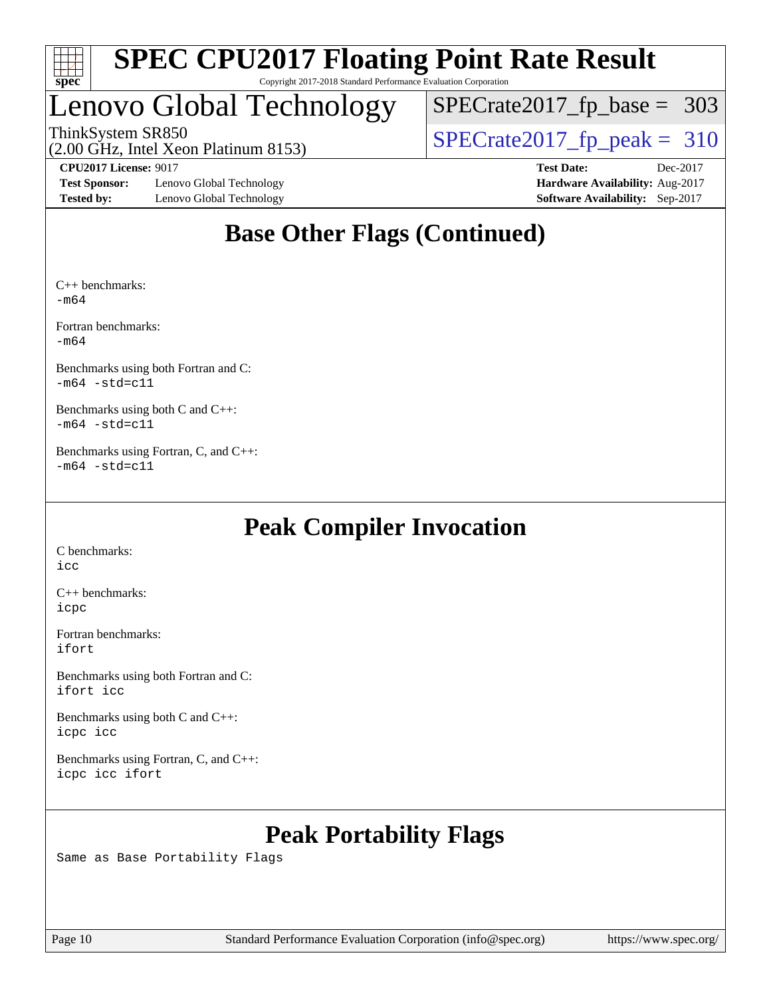

# Lenovo Global Technology

ThinkSystem SR850<br>(2.00 GHz, Intel Xeon Platinum 8153)  $\begin{array}{r} | \text{SPECrate2017\_fp\_peak = 310} \ \end{array}$ [SPECrate2017\\_fp\\_base =](http://www.spec.org/auto/cpu2017/Docs/result-fields.html#SPECrate2017fpbase) 303

(2.00 GHz, Intel Xeon Platinum 8153)

**[Test Sponsor:](http://www.spec.org/auto/cpu2017/Docs/result-fields.html#TestSponsor)** Lenovo Global Technology **[Hardware Availability:](http://www.spec.org/auto/cpu2017/Docs/result-fields.html#HardwareAvailability)** Aug-2017 **[Tested by:](http://www.spec.org/auto/cpu2017/Docs/result-fields.html#Testedby)** Lenovo Global Technology **[Software Availability:](http://www.spec.org/auto/cpu2017/Docs/result-fields.html#SoftwareAvailability)** Sep-2017

**[CPU2017 License:](http://www.spec.org/auto/cpu2017/Docs/result-fields.html#CPU2017License)** 9017 **[Test Date:](http://www.spec.org/auto/cpu2017/Docs/result-fields.html#TestDate)** Dec-2017

### **[Base Other Flags \(Continued\)](http://www.spec.org/auto/cpu2017/Docs/result-fields.html#BaseOtherFlags)**

[C++ benchmarks](http://www.spec.org/auto/cpu2017/Docs/result-fields.html#CXXbenchmarks): [-m64](http://www.spec.org/cpu2017/results/res2017q4/cpu2017-20171212-01651.flags.html#user_CXXbase_intel_intel64_18.0_af43caccfc8ded86e7699f2159af6efc7655f51387b94da716254467f3c01020a5059329e2569e4053f409e7c9202a7efc638f7a6d1ffb3f52dea4a3e31d82ab)

[Fortran benchmarks:](http://www.spec.org/auto/cpu2017/Docs/result-fields.html#Fortranbenchmarks) [-m64](http://www.spec.org/cpu2017/results/res2017q4/cpu2017-20171212-01651.flags.html#user_FCbase_intel_intel64_18.0_af43caccfc8ded86e7699f2159af6efc7655f51387b94da716254467f3c01020a5059329e2569e4053f409e7c9202a7efc638f7a6d1ffb3f52dea4a3e31d82ab)

[Benchmarks using both Fortran and C:](http://www.spec.org/auto/cpu2017/Docs/result-fields.html#BenchmarksusingbothFortranandC)  $-m64 - std = c11$  $-m64 - std = c11$ 

[Benchmarks using both C and C++](http://www.spec.org/auto/cpu2017/Docs/result-fields.html#BenchmarksusingbothCandCXX):  $-m64 - std= c11$  $-m64 - std= c11$ 

[Benchmarks using Fortran, C, and C++](http://www.spec.org/auto/cpu2017/Docs/result-fields.html#BenchmarksusingFortranCandCXX):  $-m64 - std= c11$  $-m64 - std= c11$ 

### **[Peak Compiler Invocation](http://www.spec.org/auto/cpu2017/Docs/result-fields.html#PeakCompilerInvocation)**

[C benchmarks](http://www.spec.org/auto/cpu2017/Docs/result-fields.html#Cbenchmarks): [icc](http://www.spec.org/cpu2017/results/res2017q4/cpu2017-20171212-01651.flags.html#user_CCpeak_intel_icc_18.0_66fc1ee009f7361af1fbd72ca7dcefbb700085f36577c54f309893dd4ec40d12360134090235512931783d35fd58c0460139e722d5067c5574d8eaf2b3e37e92)

[C++ benchmarks:](http://www.spec.org/auto/cpu2017/Docs/result-fields.html#CXXbenchmarks) [icpc](http://www.spec.org/cpu2017/results/res2017q4/cpu2017-20171212-01651.flags.html#user_CXXpeak_intel_icpc_18.0_c510b6838c7f56d33e37e94d029a35b4a7bccf4766a728ee175e80a419847e808290a9b78be685c44ab727ea267ec2f070ec5dc83b407c0218cded6866a35d07)

[Fortran benchmarks](http://www.spec.org/auto/cpu2017/Docs/result-fields.html#Fortranbenchmarks): [ifort](http://www.spec.org/cpu2017/results/res2017q4/cpu2017-20171212-01651.flags.html#user_FCpeak_intel_ifort_18.0_8111460550e3ca792625aed983ce982f94888b8b503583aa7ba2b8303487b4d8a21a13e7191a45c5fd58ff318f48f9492884d4413fa793fd88dd292cad7027ca)

[Benchmarks using both Fortran and C](http://www.spec.org/auto/cpu2017/Docs/result-fields.html#BenchmarksusingbothFortranandC): [ifort](http://www.spec.org/cpu2017/results/res2017q4/cpu2017-20171212-01651.flags.html#user_CC_FCpeak_intel_ifort_18.0_8111460550e3ca792625aed983ce982f94888b8b503583aa7ba2b8303487b4d8a21a13e7191a45c5fd58ff318f48f9492884d4413fa793fd88dd292cad7027ca) [icc](http://www.spec.org/cpu2017/results/res2017q4/cpu2017-20171212-01651.flags.html#user_CC_FCpeak_intel_icc_18.0_66fc1ee009f7361af1fbd72ca7dcefbb700085f36577c54f309893dd4ec40d12360134090235512931783d35fd58c0460139e722d5067c5574d8eaf2b3e37e92)

[Benchmarks using both C and C++](http://www.spec.org/auto/cpu2017/Docs/result-fields.html#BenchmarksusingbothCandCXX): [icpc](http://www.spec.org/cpu2017/results/res2017q4/cpu2017-20171212-01651.flags.html#user_CC_CXXpeak_intel_icpc_18.0_c510b6838c7f56d33e37e94d029a35b4a7bccf4766a728ee175e80a419847e808290a9b78be685c44ab727ea267ec2f070ec5dc83b407c0218cded6866a35d07) [icc](http://www.spec.org/cpu2017/results/res2017q4/cpu2017-20171212-01651.flags.html#user_CC_CXXpeak_intel_icc_18.0_66fc1ee009f7361af1fbd72ca7dcefbb700085f36577c54f309893dd4ec40d12360134090235512931783d35fd58c0460139e722d5067c5574d8eaf2b3e37e92)

[Benchmarks using Fortran, C, and C++:](http://www.spec.org/auto/cpu2017/Docs/result-fields.html#BenchmarksusingFortranCandCXX) [icpc](http://www.spec.org/cpu2017/results/res2017q4/cpu2017-20171212-01651.flags.html#user_CC_CXX_FCpeak_intel_icpc_18.0_c510b6838c7f56d33e37e94d029a35b4a7bccf4766a728ee175e80a419847e808290a9b78be685c44ab727ea267ec2f070ec5dc83b407c0218cded6866a35d07) [icc](http://www.spec.org/cpu2017/results/res2017q4/cpu2017-20171212-01651.flags.html#user_CC_CXX_FCpeak_intel_icc_18.0_66fc1ee009f7361af1fbd72ca7dcefbb700085f36577c54f309893dd4ec40d12360134090235512931783d35fd58c0460139e722d5067c5574d8eaf2b3e37e92) [ifort](http://www.spec.org/cpu2017/results/res2017q4/cpu2017-20171212-01651.flags.html#user_CC_CXX_FCpeak_intel_ifort_18.0_8111460550e3ca792625aed983ce982f94888b8b503583aa7ba2b8303487b4d8a21a13e7191a45c5fd58ff318f48f9492884d4413fa793fd88dd292cad7027ca)

### **[Peak Portability Flags](http://www.spec.org/auto/cpu2017/Docs/result-fields.html#PeakPortabilityFlags)**

Same as Base Portability Flags

Page 10 Standard Performance Evaluation Corporation [\(info@spec.org\)](mailto:info@spec.org) <https://www.spec.org/>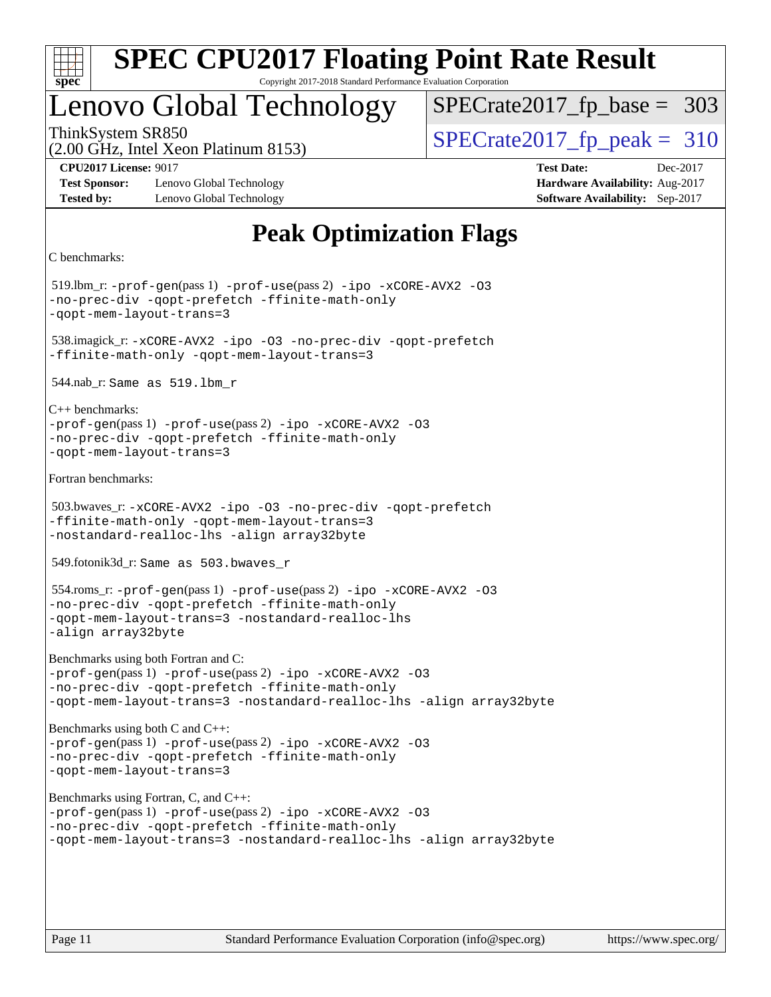

### Lenovo Global Technology

ThinkSystem SR850<br>  $(2.00 \text{ GHz})$  Intel Xeon Platinum 8153) [SPECrate2017\\_fp\\_peak =](http://www.spec.org/auto/cpu2017/Docs/result-fields.html#SPECrate2017fppeak) 310

[SPECrate2017\\_fp\\_base =](http://www.spec.org/auto/cpu2017/Docs/result-fields.html#SPECrate2017fpbase) 303

(2.00 GHz, Intel Xeon Platinum 8153)

**[Test Sponsor:](http://www.spec.org/auto/cpu2017/Docs/result-fields.html#TestSponsor)** Lenovo Global Technology **[Hardware Availability:](http://www.spec.org/auto/cpu2017/Docs/result-fields.html#HardwareAvailability)** Aug-2017 **[Tested by:](http://www.spec.org/auto/cpu2017/Docs/result-fields.html#Testedby)** Lenovo Global Technology **[Software Availability:](http://www.spec.org/auto/cpu2017/Docs/result-fields.html#SoftwareAvailability)** Sep-2017

**[CPU2017 License:](http://www.spec.org/auto/cpu2017/Docs/result-fields.html#CPU2017License)** 9017 **[Test Date:](http://www.spec.org/auto/cpu2017/Docs/result-fields.html#TestDate)** Dec-2017

### **[Peak Optimization Flags](http://www.spec.org/auto/cpu2017/Docs/result-fields.html#PeakOptimizationFlags)**

```
C benchmarks:
```

```
 519.lbm_r: -prof-gen(pass 1) -prof-use(pass 2) -ipo -xCORE-AVX2 -O3
-no-prec-div -qopt-prefetch -ffinite-math-only
-qopt-mem-layout-trans=3
 538.imagick_r: -xCORE-AVX2 -ipo -O3 -no-prec-div -qopt-prefetch
-ffinite-math-only -qopt-mem-layout-trans=3
 544.nab_r: Same as 519.lbm_r
C++ benchmarks: 
-prof-gen(pass 1) -prof-use(pass 2) -ipo -xCORE-AVX2 -O3
-no-prec-div -qopt-prefetch -ffinite-math-only
-qopt-mem-layout-trans=3
Fortran benchmarks: 
 503.bwaves_r: -xCORE-AVX2 -ipo -O3 -no-prec-div -qopt-prefetch
-ffinite-math-only -qopt-mem-layout-trans=3
-nostandard-realloc-lhs -align array32byte
 549.fotonik3d_r: Same as 503.bwaves_r
 554.roms_r: -prof-gen(pass 1) -prof-use(pass 2) -ipo -xCORE-AVX2 -O3
-no-prec-div -qopt-prefetch -ffinite-math-only
-qopt-mem-layout-trans=3 -nostandard-realloc-lhs
-align array32byte
Benchmarks using both Fortran and C: 
-prof-gen(pass 1) -prof-use(pass 2) -ipo -xCORE-AVX2 -O3
-no-prec-div -qopt-prefetch -ffinite-math-only
-qopt-mem-layout-trans=3 -nostandard-realloc-lhs -align array32byte
Benchmarks using both C and C++: 
-prof-gen(pass 1) -prof-use(pass 2) -ipo -xCORE-AVX2 -O3
-no-prec-div -qopt-prefetch -ffinite-math-only
-qopt-mem-layout-trans=3
Benchmarks using Fortran, C, and C++: 
-prof-gen(pass 1) -prof-use(pass 2) -ipo -xCORE-AVX2 -O3
-no-prec-div -qopt-prefetch -ffinite-math-only
-qopt-mem-layout-trans=3 -nostandard-realloc-lhs -align array32byte
```